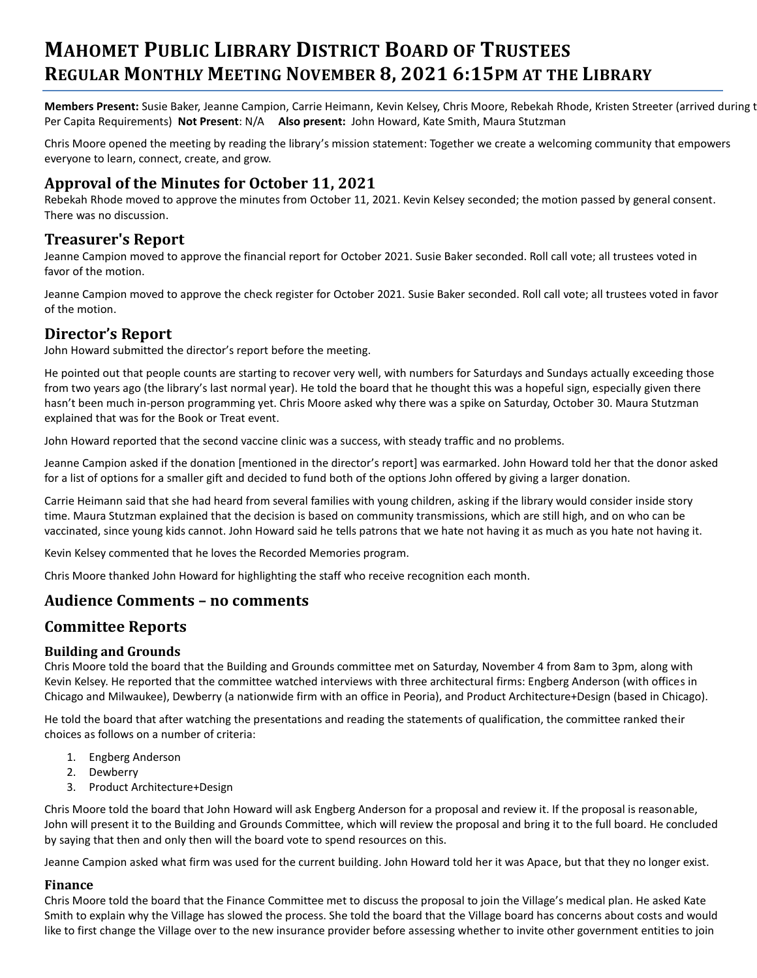# **MAHOMET PUBLIC LIBRARY DISTRICT BOARD OF TRUSTEES REGULAR MONTHLY MEETING NOVEMBER 8, 2021 6:15PM AT THE LIBRARY**

**Members Present:** Susie Baker, Jeanne Campion, Carrie Heimann, Kevin Kelsey, Chris Moore, Rebekah Rhode, Kristen Streeter (arrived during the Per Capita Requirements) **Not Present**: N/A **Also present:** John Howard, Kate Smith, Maura Stutzman

Chris Moore opened the meeting by reading the library's mission statement: Together we create a welcoming community that empowers everyone to learn, connect, create, and grow.

### **Approval of the Minutes for October 11, 2021**

Rebekah Rhode moved to approve the minutes from October 11, 2021. Kevin Kelsey seconded; the motion passed by general consent. There was no discussion.

#### **Treasurer's Report**

Jeanne Campion moved to approve the financial report for October 2021. Susie Baker seconded. Roll call vote; all trustees voted in favor of the motion.

Jeanne Campion moved to approve the check register for October 2021. Susie Baker seconded. Roll call vote; all trustees voted in favor of the motion.

## **Director's Report**

John Howard submitted the director's report before the meeting.

He pointed out that people counts are starting to recover very well, with numbers for Saturdays and Sundays actually exceeding those from two years ago (the library's last normal year). He told the board that he thought this was a hopeful sign, especially given there hasn't been much in-person programming yet. Chris Moore asked why there was a spike on Saturday, October 30. Maura Stutzman explained that was for the Book or Treat event.

John Howard reported that the second vaccine clinic was a success, with steady traffic and no problems.

Jeanne Campion asked if the donation [mentioned in the director's report] was earmarked. John Howard told her that the donor asked for a list of options for a smaller gift and decided to fund both of the options John offered by giving a larger donation.

Carrie Heimann said that she had heard from several families with young children, asking if the library would consider inside story time. Maura Stutzman explained that the decision is based on community transmissions, which are still high, and on who can be vaccinated, since young kids cannot. John Howard said he tells patrons that we hate not having it as much as you hate not having it.

Kevin Kelsey commented that he loves the Recorded Memories program.

Chris Moore thanked John Howard for highlighting the staff who receive recognition each month.

## **Audience Comments – no comments**

## **Committee Reports**

#### **Building and Grounds**

Chris Moore told the board that the Building and Grounds committee met on Saturday, November 4 from 8am to 3pm, along with Kevin Kelsey. He reported that the committee watched interviews with three architectural firms: Engberg Anderson (with offices in Chicago and Milwaukee), Dewberry (a nationwide firm with an office in Peoria), and Product Architecture+Design (based in Chicago).

He told the board that after watching the presentations and reading the statements of qualification, the committee ranked their choices as follows on a number of criteria:

- 1. Engberg Anderson
- 2. Dewberry
- 3. Product Architecture+Design

Chris Moore told the board that John Howard will ask Engberg Anderson for a proposal and review it. If the proposal is reasonable, John will present it to the Building and Grounds Committee, which will review the proposal and bring it to the full board. He concluded by saying that then and only then will the board vote to spend resources on this.

Jeanne Campion asked what firm was used for the current building. John Howard told her it was Apace, but that they no longer exist.

#### **Finance**

Chris Moore told the board that the Finance Committee met to discuss the proposal to join the Village's medical plan. He asked Kate Smith to explain why the Village has slowed the process. She told the board that the Village board has concerns about costs and would like to first change the Village over to the new insurance provider before assessing whether to invite other government entities to join